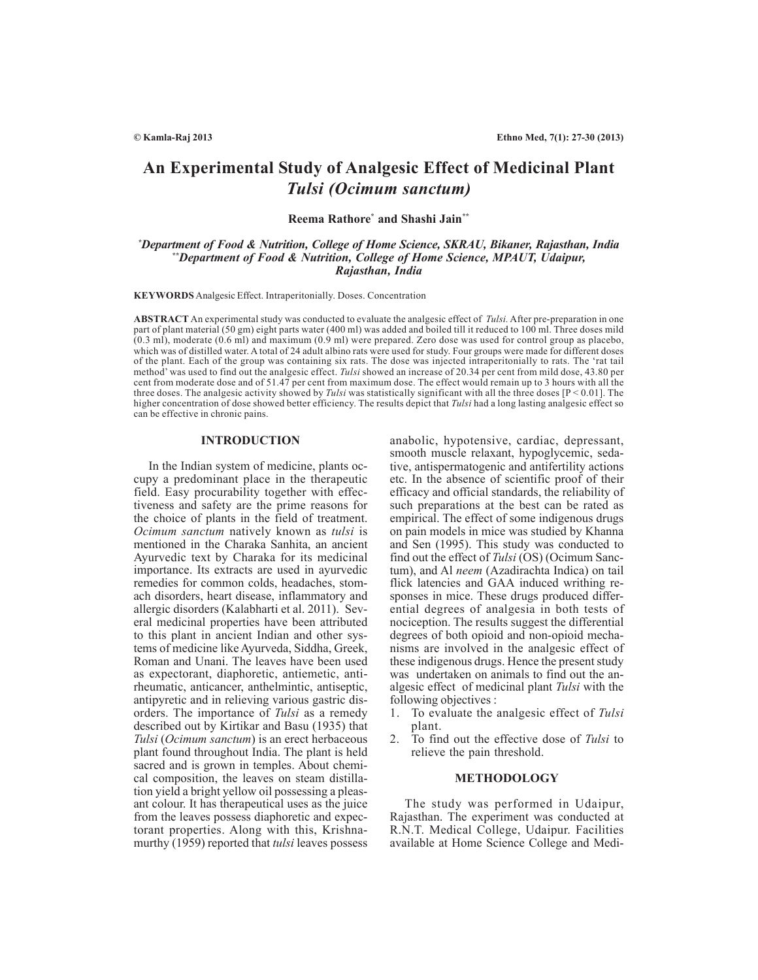# **An Experimental Study of Analgesic Effect of Medicinal Plant** *Tulsi (Ocimum sanctum)*

**Reema Rathore \* and Shashi Jain\*\***

# *\*Department of Food & Nutrition, College of Home Science, SKRAU, Bikaner, Rajasthan, India \*\*Department of Food & Nutrition, College of Home Science, MPAUT, Udaipur, Rajasthan, India*

**KEYWORDS** Analgesic Effect. Intraperitonially. Doses. Concentration

**ABSTRACT** An experimental study was conducted to evaluate the analgesic effect of *Tulsi.* After pre-preparation in one part of plant material (50 gm) eight parts water (400 ml) was added and boiled till it reduced to 100 ml. Three doses mild  $(0.3 \text{ ml})$ , moderate  $(0.6 \text{ ml})$  and maximum  $(0.9 \text{ ml})$  were prepared. Zero dose was used for control group as placebo, which was of distilled water. A total of 24 adult albino rats were used for study. Four groups were made for different doses of the plant. Each of the group was containing six rats. The dose was injected intraperitonially to rats. The 'rat tail method' was used to find out the analgesic effect. *Tulsi* showed an increase of 20.34 per cent from mild dose, 43.80 per cent from moderate dose and of 51.47 per cent from maximum dose. The effect would remain up to 3 hours with all the three doses. The analgesic activity showed by *Tulsi* was statistically significant with all the three doses [P < 0.01]. The higher concentration of dose showed better efficiency. The results depict that *Tulsi* had a long lasting analgesic effect so can be effective in chronic pains.

## **INTRODUCTION**

In the Indian system of medicine, plants occupy a predominant place in the therapeutic field. Easy procurability together with effectiveness and safety are the prime reasons for the choice of plants in the field of treatment. *Ocimum sanctum* natively known as *tulsi* is mentioned in the Charaka Sanhita, an ancient Ayurvedic text by Charaka for its medicinal importance. Its extracts are used in ayurvedic remedies for common colds, headaches, stomach disorders, heart disease, inflammatory and allergic disorders (Kalabharti et al. 2011). Several medicinal properties have been attributed to this plant in ancient Indian and other systems of medicine like Ayurveda, Siddha, Greek, Roman and Unani. The leaves have been used as expectorant, diaphoretic, antiemetic, antirheumatic, anticancer, anthelmintic, antiseptic, antipyretic and in relieving various gastric disorders. The importance of *Tulsi* as a remedy described out by Kirtikar and Basu (1935) that *Tulsi* (*Ocimum sanctum*) is an erect herbaceous plant found throughout India. The plant is held sacred and is grown in temples. About chemical composition, the leaves on steam distillation yield a bright yellow oil possessing a pleasant colour. It has therapeutical uses as the juice from the leaves possess diaphoretic and expectorant properties. Along with this, Krishnamurthy (1959) reported that *tulsi* leaves possess

anabolic, hypotensive, cardiac, depressant, smooth muscle relaxant, hypoglycemic, sedative, antispermatogenic and antifertility actions etc. In the absence of scientific proof of their efficacy and official standards, the reliability of such preparations at the best can be rated as empirical. The effect of some indigenous drugs on pain models in mice was studied by Khanna and Sen (1995). This study was conducted to find out the effect of *Tulsi* (OS) (Ocimum Sanctum), and Al *neem* (Azadirachta Indica) on tail flick latencies and GAA induced writhing responses in mice. These drugs produced differential degrees of analgesia in both tests of nociception. The results suggest the differential degrees of both opioid and non-opioid mechanisms are involved in the analgesic effect of these indigenous drugs. Hence the present study was undertaken on animals to find out the analgesic effect of medicinal plant *Tulsi* with the following objectives :

- 1. To evaluate the analgesic effect of *Tulsi* plant.
- 2. To find out the effective dose of *Tulsi* to relieve the pain threshold.

#### **METHODOLOGY**

The study was performed in Udaipur, Rajasthan. The experiment was conducted at R.N.T. Medical College, Udaipur. Facilities available at Home Science College and Medi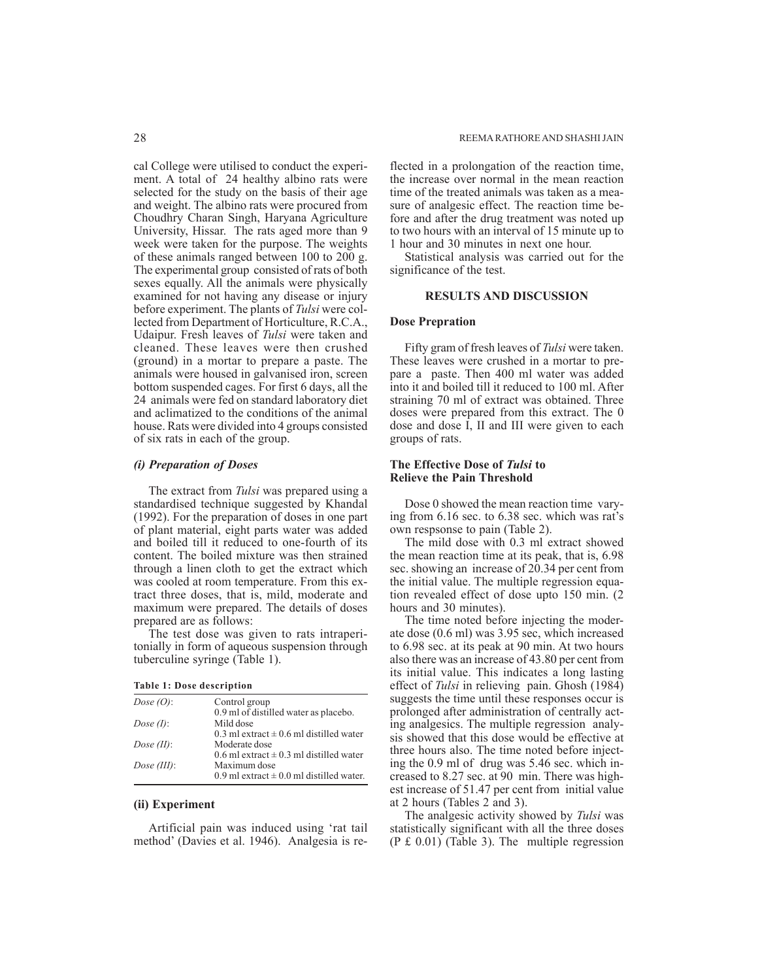cal College were utilised to conduct the experiment. A total of 24 healthy albino rats were selected for the study on the basis of their age and weight. The albino rats were procured from Choudhry Charan Singh, Haryana Agriculture University, Hissar. The rats aged more than 9 week were taken for the purpose. The weights of these animals ranged between 100 to 200 g. The experimental group consisted of rats of both sexes equally. All the animals were physically examined for not having any disease or injury before experiment. The plants of *Tulsi* were collected from Department of Horticulture, R.C.A., Udaipur. Fresh leaves of *Tulsi* were taken and cleaned. These leaves were then crushed (ground) in a mortar to prepare a paste. The animals were housed in galvanised iron, screen bottom suspended cages. For first 6 days, all the 24 animals were fed on standard laboratory diet and aclimatized to the conditions of the animal house. Rats were divided into 4 groups consisted of six rats in each of the group.

# *(i) Preparation of Doses*

The extract from *Tulsi* was prepared using a standardised technique suggested by Khandal (1992). For the preparation of doses in one part of plant material, eight parts water was added and boiled till it reduced to one-fourth of its content. The boiled mixture was then strained through a linen cloth to get the extract which was cooled at room temperature. From this extract three doses, that is, mild, moderate and maximum were prepared. The details of doses prepared are as follows:

The test dose was given to rats intraperitonially in form of aqueous suspension through tuberculine syringe (Table 1).

| Table 1: Dose description |  |  |  |  |  |
|---------------------------|--|--|--|--|--|
|---------------------------|--|--|--|--|--|

| Dose $(O)$ :   | Control group                                |
|----------------|----------------------------------------------|
|                | 0.9 ml of distilled water as placebo.        |
| Dose $(I)$ :   | Mild dose                                    |
|                | 0.3 ml extract $\pm$ 0.6 ml distilled water  |
| Dose $(II)$ :  | Moderate dose                                |
|                | 0.6 ml extract $\pm$ 0.3 ml distilled water  |
| Dose $(III)$ : | Maximum dose                                 |
|                | 0.9 ml extract $\pm$ 0.0 ml distilled water. |
|                |                                              |

#### **(ii) Experiment**

Artificial pain was induced using 'rat tail method' (Davies et al. 1946). Analgesia is reflected in a prolongation of the reaction time, the increase over normal in the mean reaction time of the treated animals was taken as a measure of analgesic effect. The reaction time before and after the drug treatment was noted up to two hours with an interval of 15 minute up to 1 hour and 30 minutes in next one hour.

Statistical analysis was carried out for the significance of the test.

## **RESULTS AND DISCUSSION**

#### **Dose Prepration**

Fifty gram of fresh leaves of *Tulsi* were taken. These leaves were crushed in a mortar to prepare a paste. Then 400 ml water was added into it and boiled till it reduced to 100 ml. After straining 70 ml of extract was obtained. Three doses were prepared from this extract. The 0 dose and dose I, II and III were given to each groups of rats.

## **The Effective Dose of** *Tulsi* **to Relieve the Pain Threshold**

Dose 0 showed the mean reaction time varying from 6.16 sec. to 6.38 sec. which was rat's own respsonse to pain (Table 2).

The mild dose with 0.3 ml extract showed the mean reaction time at its peak, that is, 6.98 sec. showing an increase of 20.34 per cent from the initial value. The multiple regression equation revealed effect of dose upto 150 min. (2 hours and 30 minutes).

The time noted before injecting the moderate dose (0.6 ml) was 3.95 sec, which increased to 6.98 sec. at its peak at 90 min. At two hours also there was an increase of 43.80 per cent from its initial value. This indicates a long lasting effect of *Tulsi* in relieving pain. Ghosh (1984) suggests the time until these responses occur is prolonged after administration of centrally acting analgesics. The multiple regression analysis showed that this dose would be effective at three hours also. The time noted before injecting the 0.9 ml of drug was 5.46 sec. which increased to 8.27 sec. at 90 min. There was highest increase of 51.47 per cent from initial value at 2 hours (Tables 2 and 3).

The analgesic activity showed by *Tulsi* was statistically significant with all the three doses (P £ 0.01) (Table 3). The multiple regression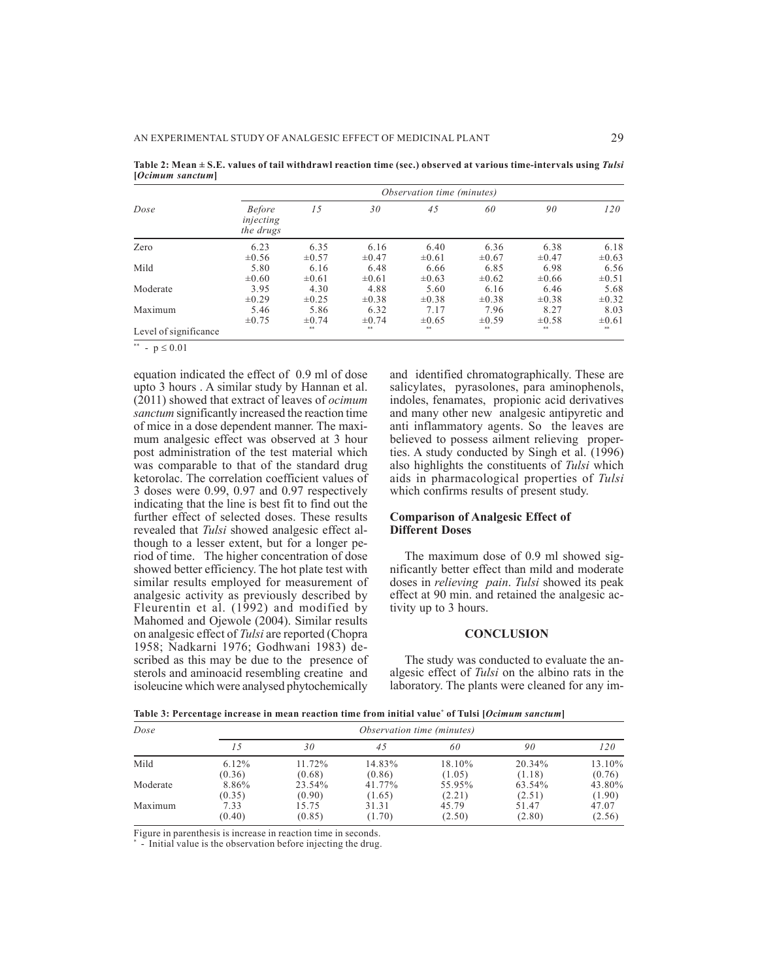|                       | Observation time (minutes)              |            |            |            |            |            |            |
|-----------------------|-----------------------------------------|------------|------------|------------|------------|------------|------------|
| Dose                  | <b>Before</b><br>injecting<br>the drugs | 15         | 30         | 45         | 60         | 90         | 120        |
| Zero                  | 6.23                                    | 6.35       | 6.16       | 6.40       | 6.36       | 6.38       | 6.18       |
|                       | $\pm 0.56$                              | $\pm 0.57$ | $\pm 0.47$ | $\pm 0.61$ | $\pm 0.67$ | $\pm 0.47$ | $\pm 0.63$ |
| Mild                  | 5.80                                    | 6.16       | 6.48       | 6.66       | 6.85       | 6.98       | 6.56       |
|                       | $\pm 0.60$                              | $\pm 0.61$ | $\pm 0.61$ | $\pm 0.63$ | $\pm 0.62$ | $\pm 0.66$ | $\pm 0.51$ |
| Moderate              | 3.95                                    | 4.30       | 4.88       | 5.60       | 6.16       | 6.46       | 5.68       |
|                       | $\pm 0.29$                              | $\pm 0.25$ | $\pm 0.38$ | $\pm 0.38$ | $\pm 0.38$ | $\pm 0.38$ | $\pm 0.32$ |
| Maximum               | 5.46                                    | 5.86       | 6.32       | 7.17       | 7.96       | 8.27       | 8.03       |
|                       | $\pm 0.75$                              | $\pm 0.74$ | $\pm 0.74$ | $\pm 0.65$ | $\pm 0.59$ | $\pm 0.58$ | $\pm 0.61$ |
| Level of significance |                                         | **         | **         | 88         | 88         | **         | **         |

**Table 2: Mean ± S.E. values of tail withdrawl reaction time (sec.) observed at various time-intervals using** *Tulsi* **[***Ocimum sanctum***]**

\*\* -  $p \le 0.01$ 

equation indicated the effect of 0.9 ml of dose upto 3 hours . A similar study by Hannan et al. (2011) showed that extract of leaves of *ocimum sanctum* significantly increased the reaction time of mice in a dose dependent manner. The maximum analgesic effect was observed at 3 hour post administration of the test material which was comparable to that of the standard drug ketorolac. The correlation coefficient values of 3 doses were 0.99, 0.97 and 0.97 respectively indicating that the line is best fit to find out the further effect of selected doses. These results revealed that *Tulsi* showed analgesic effect although to a lesser extent, but for a longer period of time. The higher concentration of dose showed better efficiency. The hot plate test with similar results employed for measurement of analgesic activity as previously described by Fleurentin et al. (1992) and modified by Mahomed and Ojewole (2004). Similar results on analgesic effect of *Tulsi* are reported (Chopra 1958; Nadkarni 1976; Godhwani 1983) described as this may be due to the presence of sterols and aminoacid resembling creatine and isoleucine which were analysed phytochemically

and identified chromatographically. These are salicylates, pyrasolones, para aminophenols, indoles, fenamates, propionic acid derivatives and many other new analgesic antipyretic and anti inflammatory agents. So the leaves are believed to possess ailment relieving properties. A study conducted by Singh et al. (1996) also highlights the constituents of *Tulsi* which aids in pharmacological properties of *Tulsi* which confirms results of present study.

# **Comparison of Analgesic Effect of Different Doses**

The maximum dose of 0.9 ml showed significantly better effect than mild and moderate doses in *relieving pain*. *Tulsi* showed its peak effect at 90 min. and retained the analgesic activity up to 3 hours.

## **CONCLUSION**

The study was conducted to evaluate the analgesic effect of *Tulsi* on the albino rats in the laboratory. The plants were cleaned for any im-

**Table 3: Percentage increase in mean reaction time from initial value\* of Tulsi [***Ocimum sanctum***]**

| Dose     |                          |                           | <i>Observation time (minutes)</i> |                           |                           |                           |
|----------|--------------------------|---------------------------|-----------------------------------|---------------------------|---------------------------|---------------------------|
|          |                          | 30                        | 45                                | 60                        | 90                        | 120                       |
| Mild     | $6.12\%$<br>(0.36)       | 11.72%<br>(0.68)          | 14.83%<br>(0.86)                  | 18.10%<br>(1.05)          | 20.34%<br>(1.18)          | 13.10%<br>(0.76)          |
| Moderate | 8.86%                    | 23.54%                    | 41.77%                            | 55.95%                    | 63.54%                    | 43.80%                    |
| Maximum  | (0.35)<br>7.33<br>(0.40) | (0.90)<br>15.75<br>(0.85) | (1.65)<br>31.31<br>(1.70)         | (2.21)<br>45.79<br>(2.50) | (2.51)<br>51.47<br>(2.80) | (1.90)<br>47.07<br>(2.56) |

Figure in parenthesis is increase in reaction time in seconds.

\* - Initial value is the observation before injecting the drug.